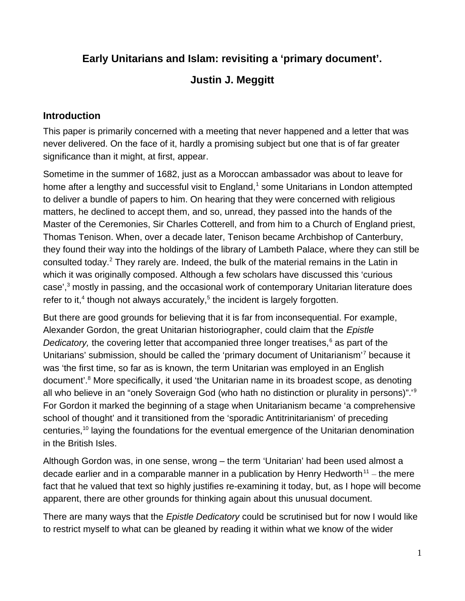# **Early Unitarians and Islam: revisiting a 'primary document'.**

## **Justin J. Meggitt**

### **Introduction**

This paper is primarily concerned with a meeting that never happened and a letter that was never delivered. On the face of it, hardly a promising subject but one that is of far greater significance than it might, at first, appear.

Sometime in the summer of 1682, just as a Moroccan ambassador was about to leave for home after a lengthy and successful visit to England, $<sup>1</sup>$  some Unitarians in London attempted</sup> to deliver a bundle of papers to him. On hearing that they were concerned with religious matters, he declined to accept them, and so, unread, they passed into the hands of the Master of the Ceremonies, Sir Charles Cotterell, and from him to a Church of England priest, Thomas Tenison. When, over a decade later, Tenison became Archbishop of Canterbury, they found their way into the holdings of the library of Lambeth Palace, where they can still be consulted today.<sup>2</sup> They rarely are. Indeed, the bulk of the material remains in the Latin in which it was originally composed. Although a few scholars have discussed this 'curious case',<sup>3</sup> mostly in passing, and the occasional work of contemporary Unitarian literature does refer to it, $4$  though not always accurately, $5$  the incident is largely forgotten.

But there are good grounds for believing that it is far from inconsequential. For example, Alexander Gordon, the great Unitarian historiographer, could claim that the *Epistle*  Dedicatory, the covering letter that accompanied three longer treatises,<sup>6</sup> as part of the Unitarians' submission, should be called the 'primary document of Unitarianism'<sup>7</sup> because it was 'the first time, so far as is known, the term Unitarian was employed in an English document'.<sup>8</sup> More specifically, it used 'the Unitarian name in its broadest scope, as denoting all who believe in an "onely Soveraign God (who hath no distinction or plurality in persons)".'<sup>9</sup> For Gordon it marked the beginning of a stage when Unitarianism became 'a comprehensive school of thought' and it transitioned from the 'sporadic Antitrinitarianism' of preceding centuries.<sup>10</sup> laying the foundations for the eventual emergence of the Unitarian denomination in the British Isles.

Although Gordon was, in one sense, wrong – the term 'Unitarian' had been used almost a decade earlier and in a comparable manner in a publication by Henry Hedworth $^{11}$  – the mere fact that he valued that text so highly justifies re-examining it today, but, as I hope will become apparent, there are other grounds for thinking again about this unusual document.

There are many ways that the *Epistle Dedicatory* could be scrutinised but for now I would like to restrict myself to what can be gleaned by reading it within what we know of the wider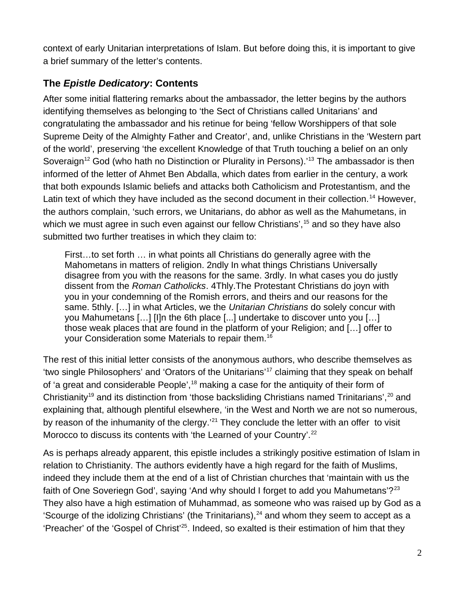context of early Unitarian interpretations of Islam. But before doing this, it is important to give a brief summary of the letter's contents.

### **The** *Epistle Dedicatory***: Contents**

After some initial flattering remarks about the ambassador, the letter begins by the authors identifying themselves as belonging to 'the Sect of Christians called Unitarians' and congratulating the ambassador and his retinue for being 'fellow Worshippers of that sole Supreme Deity of the Almighty Father and Creator', and, unlike Christians in the 'Western part of the world', preserving 'the excellent Knowledge of that Truth touching a belief on an only Soveraign<sup>12</sup> God (who hath no Distinction or Plurality in Persons).<sup>13</sup> The ambassador is then informed of the letter of Ahmet Ben Abdalla, which dates from earlier in the century, a work that both expounds Islamic beliefs and attacks both Catholicism and Protestantism, and the Latin text of which they have included as the second document in their collection.<sup>14</sup> However, the authors complain, 'such errors, we Unitarians, do abhor as well as the Mahumetans, in which we must agree in such even against our fellow Christians',  $15$  and so they have also submitted two further treatises in which they claim to:

First…to set forth … in what points all Christians do generally agree with the Mahometans in matters of religion. 2ndly In what things Christians Universally disagree from you with the reasons for the same. 3rdly. In what cases you do justly dissent from the *Roman Catholicks*. 4Thly.The Protestant Christians do joyn with you in your condemning of the Romish errors, and theirs and our reasons for the same. 5thly. […] in what Articles, we the *Unitarian Christians* do solely concur with you Mahumetans […] [I]n the 6th place [...] undertake to discover unto you […] those weak places that are found in the platform of your Religion; and […] offer to your Consideration some Materials to repair them.<sup>16</sup>

The rest of this initial letter consists of the anonymous authors, who describe themselves as 'two single Philosophers' and 'Orators of the Unitarians'<sup>17</sup> claiming that they speak on behalf of 'a great and considerable People',<sup>18</sup> making a case for the antiquity of their form of Christianity<sup>19</sup> and its distinction from 'those backsliding Christians named Trinitarians',<sup>20</sup> and explaining that, although plentiful elsewhere, 'in the West and North we are not so numerous, by reason of the inhumanity of the clergy.<sup>21</sup> They conclude the letter with an offer to visit Morocco to discuss its contents with 'the Learned of your Country'.<sup>22</sup>

As is perhaps already apparent, this epistle includes a strikingly positive estimation of Islam in relation to Christianity. The authors evidently have a high regard for the faith of Muslims, indeed they include them at the end of a list of Christian churches that 'maintain with us the faith of One Soveriegn God', saying 'And why should I forget to add you Mahumetans'?<sup>23</sup> They also have a high estimation of Muhammad, as someone who was raised up by God as a 'Scourge of the idolizing Christians' (the Trinitarians), $^{24}$  and whom they seem to accept as a 'Preacher' of the 'Gospel of Christ'<sup>25</sup>. Indeed, so exalted is their estimation of him that they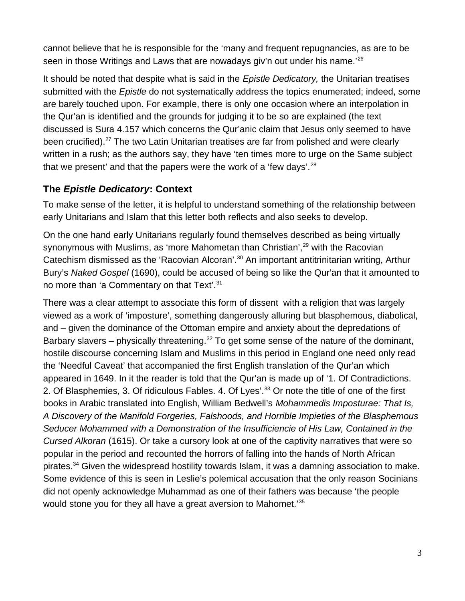cannot believe that he is responsible for the 'many and frequent repugnancies, as are to be seen in those Writings and Laws that are nowadays giv'n out under his name.<sup>'26</sup>

It should be noted that despite what is said in the *Epistle Dedicatory,* the Unitarian treatises submitted with the *Epistle* do not systematically address the topics enumerated; indeed, some are barely touched upon. For example, there is only one occasion where an interpolation in the Qur'an is identified and the grounds for judging it to be so are explained (the text discussed is Sura 4.157 which concerns the Qur'anic claim that Jesus only seemed to have been crucified).<sup>27</sup> The two Latin Unitarian treatises are far from polished and were clearly written in a rush; as the authors say, they have 'ten times more to urge on the Same subject that we present' and that the papers were the work of a 'few days'.<sup>28</sup>

### **The** *Epistle Dedicatory***: Context**

To make sense of the letter, it is helpful to understand something of the relationship between early Unitarians and Islam that this letter both reflects and also seeks to develop.

On the one hand early Unitarians regularly found themselves described as being virtually synonymous with Muslims, as 'more Mahometan than Christian',<sup>29</sup> with the Racovian Catechism dismissed as the 'Racovian Alcoran'.<sup>30</sup> An important antitrinitarian writing, Arthur Bury's *Naked Gospel* (1690), could be accused of being so like the Qur'an that it amounted to no more than 'a Commentary on that Text'.<sup>31</sup>

There was a clear attempt to associate this form of dissent with a religion that was largely viewed as a work of 'imposture', something dangerously alluring but blasphemous, diabolical, and – given the dominance of the Ottoman empire and anxiety about the depredations of Barbary slavers – physically threatening.<sup>32</sup> To get some sense of the nature of the dominant, hostile discourse concerning Islam and Muslims in this period in England one need only read the 'Needful Caveat' that accompanied the first English translation of the Qur'an which appeared in 1649. In it the reader is told that the Qur'an is made up of '1. Of Contradictions. 2. Of Blasphemies, 3. Of ridiculous Fables. 4. Of Lyes'.<sup>33</sup> Or note the title of one of the first books in Arabic translated into English, William Bedwell's *Mohammedis Imposturae: That Is, A Discovery of the Manifold Forgeries, Falshoods, and Horrible Impieties of the Blasphemous Seducer Mohammed with a Demonstration of the Insufficiencie of His Law, Contained in the Cursed Alkoran* (1615). Or take a cursory look at one of the captivity narratives that were so popular in the period and recounted the horrors of falling into the hands of North African pirates.<sup>34</sup> Given the widespread hostility towards Islam, it was a damning association to make. Some evidence of this is seen in Leslie's polemical accusation that the only reason Socinians did not openly acknowledge Muhammad as one of their fathers was because 'the people would stone you for they all have a great aversion to Mahomet.<sup>35</sup>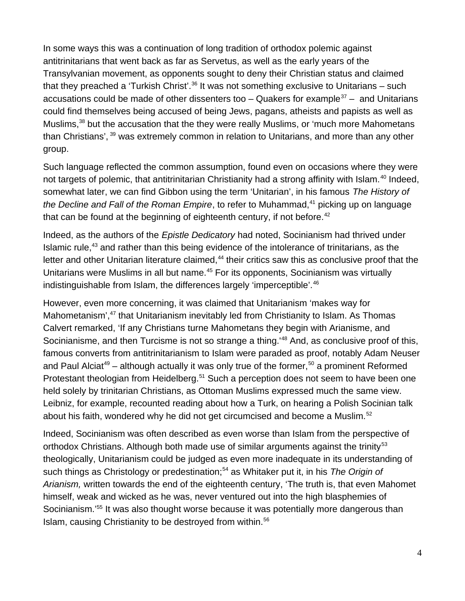In some ways this was a continuation of long tradition of orthodox polemic against antitrinitarians that went back as far as Servetus, as well as the early years of the Transylvanian movement, as opponents sought to deny their Christian status and claimed that they preached a 'Turkish Christ'.<sup>36</sup> It was not something exclusive to Unitarians – such accusations could be made of other dissenters too  $-$  Quakers for example<sup>37</sup> – and Unitarians could find themselves being accused of being Jews, pagans, atheists and papists as well as Muslims,<sup>38</sup> but the accusation that the they were really Muslims, or 'much more Mahometans than Christians', <sup>39</sup> was extremely common in relation to Unitarians, and more than any other group.

Such language reflected the common assumption, found even on occasions where they were not targets of polemic, that antitrinitarian Christianity had a strong affinity with Islam.<sup>40</sup> Indeed, somewhat later, we can find Gibbon using the term 'Unitarian', in his famous *The History of the Decline and Fall of the Roman Empire*, to refer to Muhammad,<sup>41</sup> picking up on language that can be found at the beginning of eighteenth century, if not before. $42$ 

Indeed, as the authors of the *Epistle Dedicatory* had noted, Socinianism had thrived under Islamic rule, $43$  and rather than this being evidence of the intolerance of trinitarians, as the letter and other Unitarian literature claimed,<sup>44</sup> their critics saw this as conclusive proof that the Unitarians were Muslims in all but name.<sup>45</sup> For its opponents, Socinianism was virtually indistinguishable from Islam, the differences largely 'imperceptible'.<sup>46</sup>

However, even more concerning, it was claimed that Unitarianism 'makes way for Mahometanism',<sup>47</sup> that Unitarianism inevitably led from Christianity to Islam. As Thomas Calvert remarked, 'If any Christians turne Mahometans they begin with Arianisme, and Socinianisme, and then Turcisme is not so strange a thing.<sup>48</sup> And, as conclusive proof of this, famous converts from antitrinitarianism to Islam were paraded as proof, notably Adam Neuser and Paul Alciat<sup>49</sup> – although actually it was only true of the former,<sup>50</sup> a prominent Reformed Protestant theologian from Heidelberg.<sup>51</sup> Such a perception does not seem to have been one held solely by trinitarian Christians, as Ottoman Muslims expressed much the same view. Leibniz, for example, recounted reading about how a Turk, on hearing a Polish Socinian talk about his faith, wondered why he did not get circumcised and become a Muslim.<sup>52</sup>

Indeed, Socinianism was often described as even worse than Islam from the perspective of orthodox Christians. Although both made use of similar arguments against the trinity<sup>53</sup> theologically, Unitarianism could be judged as even more inadequate in its understanding of such things as Christology or predestination;<sup>54</sup> as Whitaker put it, in his *The Origin of Arianism,* written towards the end of the eighteenth century, 'The truth is, that even Mahomet himself, weak and wicked as he was, never ventured out into the high blasphemies of Socinianism.<sup>'55</sup> It was also thought worse because it was potentially more dangerous than Islam, causing Christianity to be destroyed from within.<sup>56</sup>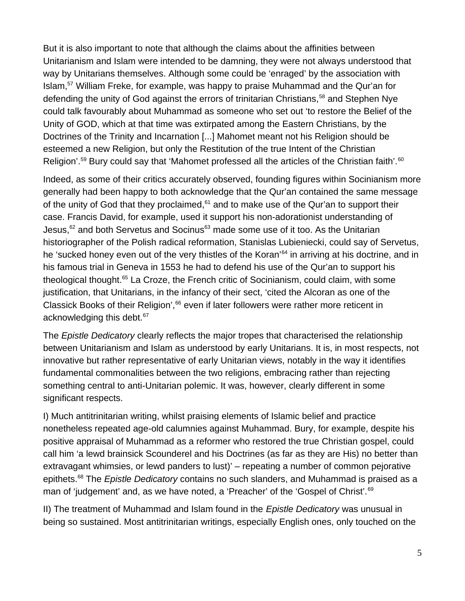But it is also important to note that although the claims about the affinities between Unitarianism and Islam were intended to be damning, they were not always understood that way by Unitarians themselves. Although some could be 'enraged' by the association with Islam,<sup>57</sup> William Freke, for example, was happy to praise Muhammad and the Qur'an for defending the unity of God against the errors of trinitarian Christians,<sup>58</sup> and Stephen Nye could talk favourably about Muhammad as someone who set out 'to restore the Belief of the Unity of GOD, which at that time was extirpated among the Eastern Christians, by the Doctrines of the Trinity and Incarnation [...] Mahomet meant not his Religion should be esteemed a new Religion, but only the Restitution of the true Intent of the Christian Religion'.<sup>59</sup> Bury could say that 'Mahomet professed all the articles of the Christian faith'.<sup>60</sup>

Indeed, as some of their critics accurately observed, founding figures within Socinianism more generally had been happy to both acknowledge that the Qur'an contained the same message of the unity of God that they proclaimed, $61$  and to make use of the Qur'an to support their case. Francis David, for example, used it support his non-adorationist understanding of Jesus, $62$  and both Servetus and Socinus $63$  made some use of it too. As the Unitarian historiographer of the Polish radical reformation, Stanislas Lubieniecki, could say of Servetus, he 'sucked honey even out of the very thistles of the Koran'<sup>64</sup> in arriving at his doctrine, and in his famous trial in Geneva in 1553 he had to defend his use of the Qur'an to support his theological thought.<sup>65</sup> La Croze, the French critic of Socinianism, could claim, with some justification, that Unitarians, in the infancy of their sect, 'cited the Alcoran as one of the Classick Books of their Religion',<sup>66</sup> even if later followers were rather more reticent in acknowledging this debt.<sup>67</sup>

The *Epistle Dedicatory* clearly reflects the major tropes that characterised the relationship between Unitarianism and Islam as understood by early Unitarians. It is, in most respects, not innovative but rather representative of early Unitarian views, notably in the way it identifies fundamental commonalities between the two religions, embracing rather than rejecting something central to anti-Unitarian polemic. It was, however, clearly different in some significant respects.

I) Much antitrinitarian writing, whilst praising elements of Islamic belief and practice nonetheless repeated age-old calumnies against Muhammad. Bury, for example, despite his positive appraisal of Muhammad as a reformer who restored the true Christian gospel, could call him 'a lewd brainsick Scounderel and his Doctrines (as far as they are His) no better than extravagant whimsies, or lewd panders to lust)' – repeating a number of common pejorative epithets.<sup>68</sup> The *Epistle Dedicatory* contains no such slanders, and Muhammad is praised as a man of 'judgement' and, as we have noted, a 'Preacher' of the 'Gospel of Christ'.<sup>69</sup>

II) The treatment of Muhammad and Islam found in the *Epistle Dedicatory* was unusual in being so sustained. Most antitrinitarian writings, especially English ones, only touched on the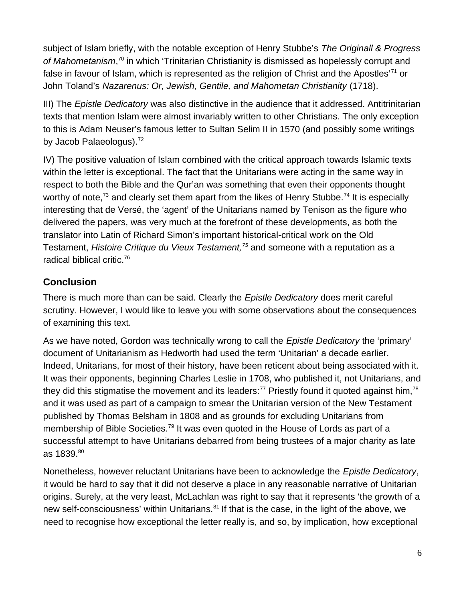subject of Islam briefly, with the notable exception of Henry Stubbe's *The Originall & Progress of Mahometanism*, <sup>70</sup> in which 'Trinitarian Christianity is dismissed as hopelessly corrupt and false in favour of Islam, which is represented as the religion of Christ and the Apostles<sup> $71$ </sup> or John Toland's *Nazarenus: Or, Jewish, Gentile, and Mahometan Christianity* (1718).

III) The *Epistle Dedicatory* was also distinctive in the audience that it addressed. Antitrinitarian texts that mention Islam were almost invariably written to other Christians. The only exception to this is Adam Neuser's famous letter to Sultan Selim II in 1570 (and possibly some writings by Jacob Palaeologus). $^{72}$ 

IV) The positive valuation of Islam combined with the critical approach towards Islamic texts within the letter is exceptional. The fact that the Unitarians were acting in the same way in respect to both the Bible and the Qur'an was something that even their opponents thought worthy of note,<sup>73</sup> and clearly set them apart from the likes of Henry Stubbe.<sup>74</sup> It is especially interesting that de Versé, the 'agent' of the Unitarians named by Tenison as the figure who delivered the papers, was very much at the forefront of these developments, as both the translator into Latin of Richard Simon's important historical-critical work on the Old Testament, *Histoire Critique du Vieux Testament,<sup>75</sup>* and someone with a reputation as a radical biblical critic.<sup>76</sup>

## **Conclusion**

There is much more than can be said. Clearly the *Epistle Dedicatory* does merit careful scrutiny. However, I would like to leave you with some observations about the consequences of examining this text.

As we have noted, Gordon was technically wrong to call the *Epistle Dedicatory* the 'primary' document of Unitarianism as Hedworth had used the term 'Unitarian' a decade earlier. Indeed, Unitarians, for most of their history, have been reticent about being associated with it. It was their opponents, beginning Charles Leslie in 1708, who published it, not Unitarians, and they did this stigmatise the movement and its leaders:<sup>77</sup> Priestly found it quoted against him,<sup>78</sup> and it was used as part of a campaign to smear the Unitarian version of the New Testament published by Thomas Belsham in 1808 and as grounds for excluding Unitarians from membership of Bible Societies.<sup>79</sup> It was even quoted in the House of Lords as part of a successful attempt to have Unitarians debarred from being trustees of a major charity as late as 1839.80

Nonetheless, however reluctant Unitarians have been to acknowledge the *Epistle Dedicatory*, it would be hard to say that it did not deserve a place in any reasonable narrative of Unitarian origins. Surely, at the very least, McLachlan was right to say that it represents 'the growth of a new self-consciousness' within Unitarians.<sup>81</sup> If that is the case, in the light of the above, we need to recognise how exceptional the letter really is, and so, by implication, how exceptional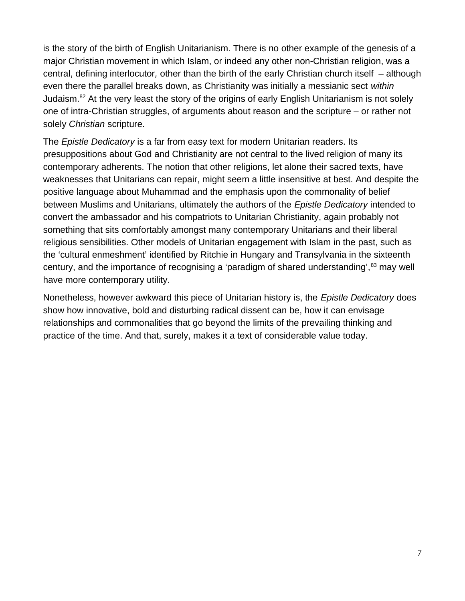is the story of the birth of English Unitarianism. There is no other example of the genesis of a major Christian movement in which Islam, or indeed any other non-Christian religion, was a central, defining interlocutor*,* other than the birth of the early Christian church itself – although even there the parallel breaks down, as Christianity was initially a messianic sect *within* Judaism.<sup>82</sup> At the very least the story of the origins of early English Unitarianism is not solely one of intra-Christian struggles, of arguments about reason and the scripture – or rather not solely *Christian* scripture.

The *Epistle Dedicatory* is a far from easy text for modern Unitarian readers. Its presuppositions about God and Christianity are not central to the lived religion of many its contemporary adherents. The notion that other religions, let alone their sacred texts, have weaknesses that Unitarians can repair, might seem a little insensitive at best. And despite the positive language about Muhammad and the emphasis upon the commonality of belief between Muslims and Unitarians, ultimately the authors of the *Epistle Dedicatory* intended to convert the ambassador and his compatriots to Unitarian Christianity, again probably not something that sits comfortably amongst many contemporary Unitarians and their liberal religious sensibilities. Other models of Unitarian engagement with Islam in the past, such as the 'cultural enmeshment' identified by Ritchie in Hungary and Transylvania in the sixteenth century, and the importance of recognising a 'paradigm of shared understanding',<sup>83</sup> may well have more contemporary utility.

Nonetheless, however awkward this piece of Unitarian history is, the *Epistle Dedicatory* does show how innovative, bold and disturbing radical dissent can be, how it can envisage relationships and commonalities that go beyond the limits of the prevailing thinking and practice of the time. And that, surely, makes it a text of considerable value today.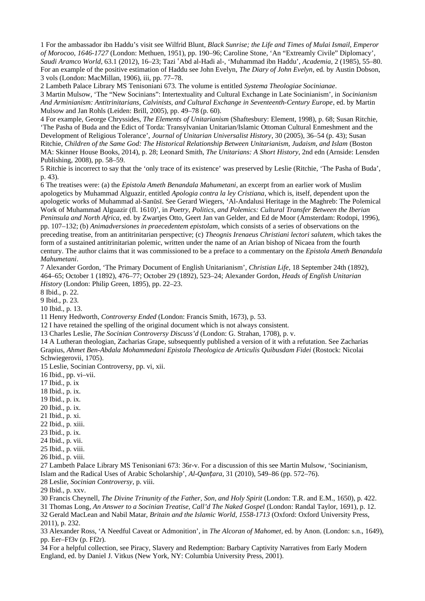1 For the ambassador ibn Haddu's visit see Wilfrid Blunt, *Black Sunrise; the Life and Times of Mulai Ismail, Emperor of Morocoo, 1646-1727* (London: Methuen, 1951), pp. 190–96; Caroline Stone, 'An "Extreamly Civile" Diplomacy', *Saudi Aramco World*, 63.1 (2012), 16–23; Tazi Abd al-Hadi al-, 'Muhammad ibn Haddu', ʿ *Academia*, 2 (1985), 55–80. For an example of the positive estimation of Haddu see John Evelyn, *The Diary of John Evelyn*, ed. by Austin Dobson, 3 vols (London: MacMillan, 1906), iii, pp. 77–78.

2 Lambeth Palace Library MS Tenisoniani 673. The volume is entitled *Systema Theologiae Socinianae*.

3 Martin Mulsow, 'The "New Socinians": Intertextuality and Cultural Exchange in Late Socinianism', in *Socinianism And Arminianism: Antitrinitarians, Calvinists, and Cultural Exchange in Seventeenth-Century Europe*, ed. by Martin Mulsow and Jan Rohls (Leiden: Brill, 2005), pp. 49–78 (p. 60).

4 For example, George Chryssides, *The Elements of Unitarianism* (Shaftesbury: Element, 1998), p. 68; Susan Ritchie, 'The Pasha of Buda and the Edict of Torda: Transylvanian Unitarian/Islamic Ottoman Cultural Enmeshment and the Development of Religious Tolerance', *Journal of Unitarian Universalist History*, 30 (2005), 36–54 (p. 43); Susan Ritchie, *Children of the Same God: The Historical Relationship Between Unitarianism, Judaism, and Islam* (Boston MA: Skinner House Books, 2014), p. 28; Leonard Smith, *The Unitarians: A Short History*, 2nd edn (Arnside: Lensden Publishing, 2008), pp. 58–59.

5 Ritchie is incorrect to say that the 'only trace of its existence' was preserved by Leslie (Ritchie, 'The Pasha of Buda', p. 43).

6 The treatises were: (a) the *Epistola Ameth Benandala Mahumetani*, an excerpt from an earlier work of Muslim apologetics by Muhammad Alguazir, entitled *Apologia contra la ley Cristiana*, which is, itself, dependent upon the apologetic works of Muhammad al-Sanūsī. See Gerard Wiegers, 'Al-Andalusi Heritage in the Maghreb: The Polemical Work of Muhammad Alguazir (fl. 1610)', in *Poetry, Politics, and Polemics: Cultural Transfer Between the Iberian Peninsula and North Africa*, ed. by Zwartjes Otto, Geert Jan van Gelder, and Ed de Moor (Amsterdam: Rodopi, 1996), pp. 107–132; (b) *Animadversiones in praecedentem epistolam*, which consists of a series of observations on the preceding treatise, from an antitrinitarian perspective; (c) *Theognis Irenaeus Christiani lectori salutem*, which takes the form of a sustained antitrinitarian polemic, written under the name of an Arian bishop of Nicaea from the fourth century. The author claims that it was commissioned to be a preface to a commentary on the *Epistola Ameth Benandala Mahumetani*.

7 Alexander Gordon, 'The Primary Document of English Unitarianism', *Christian Life*, 18 September 24th (1892), 464–65; October 1 (1892), 476–77; October 29 (1892), 523–24; Alexander Gordon, *Heads of English Unitarian History* (London: Philip Green, 1895), pp. 22–23.

8 Ibid., p. 22.

9 Ibid., p. 23.

10 Ibid., p. 13.

11 Henry Hedworth, *Controversy Ended* (London: Francis Smith, 1673), p. 53.

12 I have retained the spelling of the original document which is not always consistent.

13 Charles Leslie, *The Socinian Controversy Discuss'd* (London: G. Strahan, 1708), p. v.

14 A Lutheran theologian, Zacharias Grape, subsequently published a version of it with a refutation. See Zacharias Grapius, *Ahmet Ben-Abdala Mohammedani Epistola Theologica de Articulis Quibusdam Fidei* (Rostock: Nicolai Schwiegerovii, 1705).

15 Leslie, Socinian Controversy, pp. vi, xii.

16 Ibid., pp. vi–vii.

17 Ibid., p. ix

18 Ibid., p. ix.

19 Ibid., p. ix.

20 Ibid., p. ix.

21 Ibid., p. xi.

22 Ibid., p. xiii.

23 Ibid., p. ix.

24 Ibid., p. vii.

25 Ibid., p. viii.

26 Ibid., p. viii.

27 Lambeth Palace Library MS Tenisoniani 673: 36r-v. For a discussion of this see Martin Mulsow, 'Socinianism, Islam and the Radical Uses of Arabic Scholarship', *Al-Qantara*, 31 (2010), 549–86 (pp. 572–76).

28 Leslie, *Socinian Controversy*, p. viii.

29 Ibid., p. xxv.

30 Francis Cheynell, *The Divine Trinunity of the Father, Son, and Holy Spirit* (London: T.R. and E.M., 1650), p. 422.

31 Thomas Long*, An Answer to a Socinian Treatise, Call'd The Naked Gospel* (London: Randal Taylor, 1691), p. 12. 32 Gerald MacLean and Nabil Matar, *Britain and the Islamic World, 1558-1713* (Oxford: Oxford University Press,

2011), p. 232.

33 Alexander Ross, 'A Needful Caveat or Admonition', in *The Alcoran of Mahomet*, ed. by Anon. (London: s.n., 1649), pp. Eer–Ff3v (p. Ff2r).

34 For a helpful collection, see Piracy, Slavery and Redemption: Barbary Captivity Narratives from Early Modern England, ed. by Daniel J. Vitkus (New York, NY: Columbia University Press, 2001).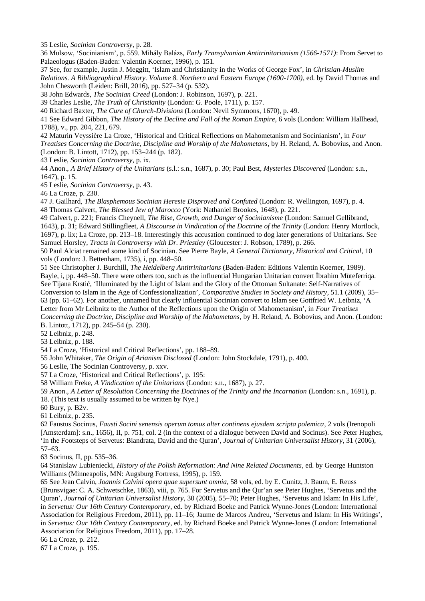35 Leslie, *Socinian Controversy*, p. 28.

36 Mulsow, 'Socinianism', p. 559. Mihály Balázs, *Early Transylvanian Antitrinitarianism (1566-1571)*: From Servet to Palaeologus (Baden-Baden: Valentin Koerner, 1996), p. 151.

37 See, for example, Justin J. Meggitt, 'Islam and Christianity in the Works of George Fox', in *Christian-Muslim Relations. A Bibliographical History. Volume 8. Northern and Eastern Europe (1600-1700)*, ed. by David Thomas and John Chesworth (Leiden: Brill, 2016), pp. 527–34 (p. 532).

38 John Edwards, *The Socinian Creed* (London: J. Robinson, 1697), p. 221.

39 Charles Leslie, *The Truth of Christianity* (London: G. Poole, 1711), p. 157.

40 Richard Baxter, *The Cure of Church-Divisions* (London: Nevil Symmons, 1670), p. 49.

41 See Edward Gibbon, *The History of the Decline and Fall of the Roman Empire*, 6 vols (London: William Hallhead, 1788), v., pp. 204, 221, 679.

42 Maturin Veyssière La Croze, 'Historical and Critical Reflections on Mahometanism and Socinianism', in *Four Treatises Concerning the Doctrine, Discipline and Worship of the Mahometans*, by H. Reland, A. Bobovius, and Anon. (London: B. Lintott, 1712), pp. 153–244 (p. 182).

43 Leslie, *Socinian Controversy*, p. ix.

44 Anon., *A Brief History of the Unitarians* (s.l.: s.n., 1687), p. 30; Paul Best, *Mysteries Discovered* (London: s.n., 1647), p. 15.

45 Leslie, *Socinian Controversy*, p. 43.

46 La Croze, p. 230.

47 J. Gailhard, *The Blasphemous Socinian Heresie Disproved and Confuted* (London: R. Wellington, 1697), p. 4. 48 Thomas Calvert, *The Blessed Jew of Marocco* (York: Nathaniel Brookes, 1648), p. 221.

49 Calvert, p. 221; Francis Cheynell, *The Rise, Growth, and Danger of Socinianisme* (London: Samuel Gellibrand, 1643), p. 31; Edward Stillingfleet, *A Discourse in Vindication of the Doctrine of the Trinity* (London: Henry Mortlock, 1697), p. lix; La Croze, pp. 213–18. Interestingly this accusation continued to dog later generations of Unitarians. See Samuel Horsley, *Tracts in Controversy with Dr. Priestley* (Gloucester: J. Robson, 1789), p. 266.

50 Paul Alciat remained some kind of Socinian. See Pierre Bayle, *A General Dictionary, Historical and Critical*, 10 vols (London: J. Bettenham, 1735), i, pp. 448–50.

51 See Christopher J. Burchill, *The Heidelberg Antitrinitarians* (Baden-Baden: Editions Valentin Koerner, 1989). Bayle, i, pp. 448–50. There were others too, such as the influential Hungarian Unitarian convert İbrahim Müteferriqa. See Tijana Krstić, 'Illuminated by the Light of Islam and the Glory of the Ottoman Sultanate: Self-Narratives of Conversion to Islam in the Age of Confessionalization', *Comparative Studies in Society and History*, 51.1 (2009), 35– 63 (pp. 61–62). For another, unnamed but clearly influential Socinian convert to Islam see Gottfried W. Leibniz, 'A Letter from Mr Leibnitz to the Author of the Reflections upon the Origin of Mahometanism', in *Four Treatises* 

*Concerning the Doctrine, Discipline and Worship of the Mahometans*, by H. Reland, A. Bobovius, and Anon. (London: B. Lintott, 1712), pp. 245–54 (p. 230).

52 Leibniz, p. 248.

53 Leibniz, p. 188.

54 La Croze, 'Historical and Critical Reflections', pp. 188–89.

55 John Whitaker, *The Origin of Arianism Disclosed* (London: John Stockdale, 1791), p. 400.

56 Leslie, The Socinian Controversy, p. xxv.

57 La Croze, 'Historical and Critical Reflections', p. 195:

58 William Freke, *A Vindication of the Unitarians* (London: s.n., 1687), p. 27.

59 Anon., *A Letter of Resolution Concerning the Doctrines of the Trinity and the Incarnation* (London: s.n., 1691), p. 18. (This text is usually assumed to be written by Nye.)

60 Bury, p. B2v.

61 Leibniz, p. 235.

62 Faustus Socinus, *Fausti Socini senensis operum tomus alter continens ejusdem scripta polemica*, 2 vols (Irenopoli [Amsterdam]: s.n., 1656), II, p. 751, col. 2 (in the context of a dialogue between David and Socinus). See Peter Hughes, 'In the Footsteps of Servetus: Biandrata, David and the Quran'*, Journal of Unitarian Universalist History*, 31 (2006), 57–63.

63 Socinus, II, pp. 535–36.

64 Stanislaw Lubieniecki, *History of the Polish Reformation: And Nine Related Documents*, ed. by George Huntston Williams (Minneapolis, MN: Augsburg Fortress, 1995), p. 159.

65 See Jean Calvin, *Joannis Calvini opera quae supersunt omnia*, 58 vols, ed. by E. Cunitz, J. Baum, E. Reuss (Brunsvigae: C. A. Schwetschke, 1863), viii, p. 765. For Servetus and the Qur'an see Peter Hughes, 'Servetus and the Quran', *Journal of Unitarian Universalist History*, 30 (2005), 55–70; Peter Hughes, 'Servetus and Islam: In His Life', in *Servetus: Our 16th Century Contemporary*, ed. by Richard Boeke and Patrick Wynne-Jones (London: International Association for Religious Freedom, 2011), pp. 11–16; Jaume de Marcos Andreu, 'Servetus and Islam: In His Writings', in *Servetus: Our 16th Century Contemporary*, ed. by Richard Boeke and Patrick Wynne-Jones (London: International Association for Religious Freedom, 2011), pp. 17–28.

66 La Croze, p. 212.

67 La Croze, p. 195.